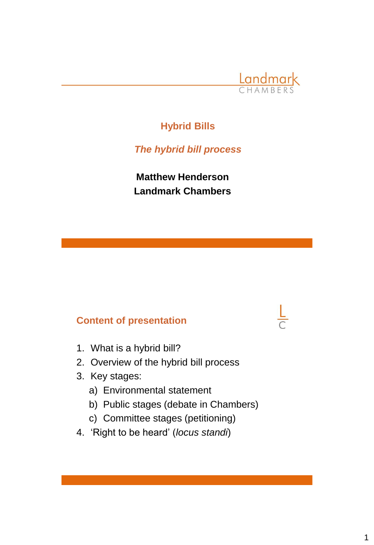

# **Hybrid Bills**

*The hybrid bill process*

**Matthew Henderson Landmark Chambers**

# **Content of presentation**

- 1. What is a hybrid bill?
- 2. Overview of the hybrid bill process
- 3. Key stages:
	- a) Environmental statement
	- b) Public stages (debate in Chambers)
	- c) Committee stages (petitioning)
- 4. 'Right to be heard' (*locus standi*)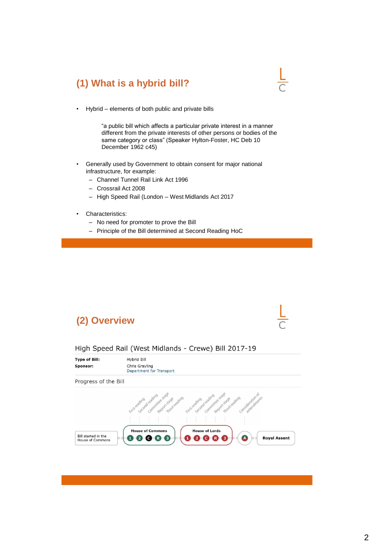# **(1) What is a hybrid bill?**

• Hybrid – elements of both public and private bills

"a public bill which affects a particular private interest in a manner different from the private interests of other persons or bodies of the same category or class" (Speaker Hylton-Foster, HC Deb 10 December 1962 c45)

- Generally used by Government to obtain consent for major national infrastructure, for example:
	- Channel Tunnel Rail Link Act 1996
	- Crossrail Act 2008
	- High Speed Rail (London West Midlands Act 2017
- Characteristics:
	- No need for promoter to prove the Bill
	- Principle of the Bill determined at Second Reading HoC

## **(2) Overview**

#### High Speed Rail (West Midlands - Crewe) Bill 2017-19

| <b>Type of Bill:</b> | Hybrid Bill                                                                                                                      |
|----------------------|----------------------------------------------------------------------------------------------------------------------------------|
| Sponsor:             | Chris Grayling<br>Department for Transport                                                                                       |
| Progress of the Bill |                                                                                                                                  |
|                      |                                                                                                                                  |
|                      | cust registra de cedirem estatunide construir construir a construir de construire de capital construire construire de construire |
|                      |                                                                                                                                  |
|                      | <b>House of Lords</b><br><b>House of Commons</b>                                                                                 |
| Bill started in the  | (A<br><b>Royal Assent</b>                                                                                                        |
| House of Commons     | 3                                                                                                                                |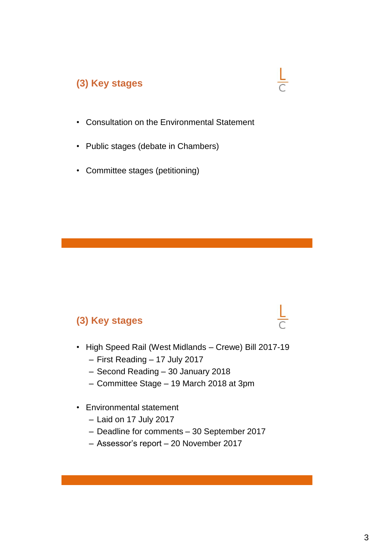# **(3) Key stages**

- Consultation on the Environmental Statement
- Public stages (debate in Chambers)
- Committee stages (petitioning)

# **(3) Key stages**

- High Speed Rail (West Midlands Crewe) Bill 2017-19
	- First Reading 17 July 2017
	- Second Reading 30 January 2018
	- Committee Stage 19 March 2018 at 3pm
- Environmental statement
	- Laid on 17 July 2017
	- Deadline for comments 30 September 2017
	- Assessor's report 20 November 2017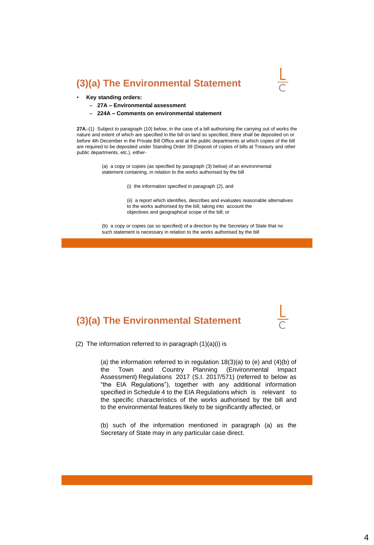#### **(3)(a) The Environmental Statement**



#### • **Key standing orders:**

- **27A – Environmental assessment**
- **224A – Comments on environmental statement**

**27A.**-(1) Subject to paragraph (10) below, in the case of a bill authorising the carrying out of works the nature and extent of which are specified in the bill on land so specified, there shall be deposited on or before 4th December in the Private Bill Office and at the public departments at which copies of the bill are required to be deposited under Standing Order 39 (Deposit of copies of bills at Treasury and other public departments, etc.), either-

> (a) a copy or copies (as specified by paragraph (3) below) of an environmental statement containing, in relation to the works authorised by the bill

> > (i) the information specified in paragraph (2), and

(ii) a report which identifies, describes and evaluates reasonable alternatives to the works authorised by the bill, taking into account the objectives and geographical scope of the bill; or

(b) a copy or copies (as so specified) of a direction by the Secretary of State that no such statement is necessary in relation to the works authorised by the bill

## **(3)(a) The Environmental Statement**

(2) The information referred to in paragraph (1)(a)(i) is

(a) the information referred to in regulation 18(3)(a) to (e) and (4)(b) of the Town and Country Planning (Environmental Impact Assessment) Regulations 2017 (S.I. 2017/571) (referred to below as "the EIA Regulations"), together with any additional information specified in Schedule 4 to the EIA Regulations which is relevant to the specific characteristics of the works authorised by the bill and to the environmental features likely to be significantly affected, or

(b) such of the information mentioned in paragraph (a) as the Secretary of State may in any particular case direct.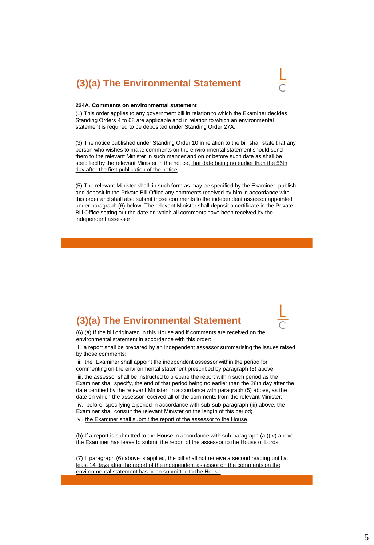#### **(3)(a) The Environmental Statement**



#### **224A. Comments on environmental statement**

(1) This order applies to any government bill in relation to which the Examiner decides Standing Orders 4 to 68 are applicable and in relation to which an environmental statement is required to be deposited under Standing Order 27A.

(3) The notice published under Standing Order 10 in relation to the bill shall state that any person who wishes to make comments on the environmental statement should send them to the relevant Minister in such manner and on or before such date as shall be specified by the relevant Minister in the notice, that date being no earlier than the 56th day after the first publication of the notice

….

(5) The relevant Minister shall, in such form as may be specified by the Examiner, publish and deposit in the Private Bill Office any comments received by him in accordance with this order and shall also submit those comments to the independent assessor appointed under paragraph (6) below. The relevant Minister shall deposit a certificate in the Private Bill Office setting out the date on which all comments have been received by the independent assessor.

#### **(3)(a) The Environmental Statement**



(6) (a) If the bill originated in this House and if comments are received on the environmental statement in accordance with this order:

i . a report shall be prepared by an independent assessor summarising the issues raised by those comments;

ii. the Examiner shall appoint the independent assessor within the period for commenting on the environmental statement prescribed by paragraph (3) above; iii. the assessor shall be instructed to prepare the report within such period as the Examiner shall specify, the end of that period being no earlier than the 28th day after the date certified by the relevant Minister, in accordance with paragraph (5) above, as the date on which the assessor received all of the comments from the relevant Minister; iv. before specifying a period in accordance with sub-sub-paragraph (iii) above, the Examiner shall consult the relevant Minister on the length of this period;

v . the Examiner shall submit the report of the assessor to the House.

(b) If a report is submitted to the House in accordance with sub-paragraph (a )( v) above, the Examiner has leave to submit the report of the assessor to the House of Lords.

(7) If paragraph (6) above is applied, the bill shall not receive a second reading until at least 14 days after the report of the independent assessor on the comments on the environmental statement has been submitted to the House.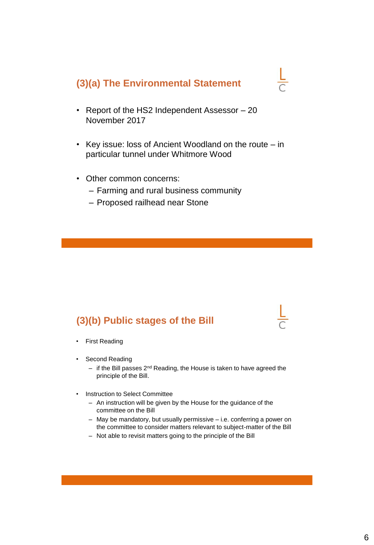#### **(3)(a) The Environmental Statement**

- Report of the HS2 Independent Assessor 20 November 2017
- Key issue: loss of Ancient Woodland on the route in particular tunnel under Whitmore Wood
- Other common concerns:
	- Farming and rural business community
	- Proposed railhead near Stone

## **(3)(b) Public stages of the Bill**

- First Reading
- Second Reading
	- $-$  if the Bill passes 2<sup>nd</sup> Reading, the House is taken to have agreed the principle of the Bill.
- Instruction to Select Committee
	- An instruction will be given by the House for the guidance of the committee on the Bill
	- May be mandatory, but usually permissive i.e. conferring a power on the committee to consider matters relevant to subject-matter of the Bill
	- Not able to revisit matters going to the principle of the Bill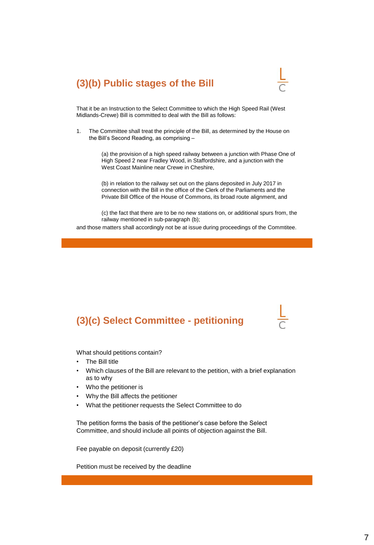# **(3)(b) Public stages of the Bill**



That it be an Instruction to the Select Committee to which the High Speed Rail (West Midlands-Crewe) Bill is committed to deal with the Bill as follows:

1. The Committee shall treat the principle of the Bill, as determined by the House on the Bill's Second Reading, as comprising –

> (a) the provision of a high speed railway between a junction with Phase One of High Speed 2 near Fradley Wood, in Staffordshire, and a junction with the West Coast Mainline near Crewe in Cheshire,

(b) in relation to the railway set out on the plans deposited in July 2017 in connection with the Bill in the office of the Clerk of the Parliaments and the Private Bill Office of the House of Commons, its broad route alignment, and

(c) the fact that there are to be no new stations on, or additional spurs from, the railway mentioned in sub-paragraph (b);

and those matters shall accordingly not be at issue during proceedings of the Commtitee.

## **(3)(c) Select Committee - petitioning**

What should petitions contain?

- The Bill title
- Which clauses of the Bill are relevant to the petition, with a brief explanation as to why
- Who the petitioner is
- Why the Bill affects the petitioner
- What the petitioner requests the Select Committee to do

The petition forms the basis of the petitioner's case before the Select Committee, and should include all points of objection against the Bill.

Fee payable on deposit (currently £20)

Petition must be received by the deadline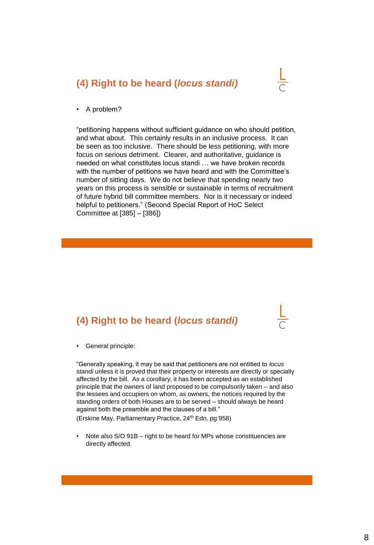

• A problem?

"petitioning happens without sufficient guidance on who should petition, and what about. This certainly results in an inclusive process. It can be seen as too inclusive. There should be less petitioning, with more focus on serious detriment. Clearer, and authoritative, guidance is needed on what constitutes locus standi … we have broken records with the number of petitions we have heard and with the Committee's number of sitting days. We do not believe that spending nearly two years on this process is sensible or sustainable in terms of recruitment of future hybrid bill committee members. Nor is it necessary or indeed helpful to petitioners." (Second Special Report of HoC Select Committee at [385] – [386])

## **(4) Right to be heard (***locus standi)*



• General principle:

"Generally speaking, it may be said that petitioners are not entitled to *locus standi* unless it is proved that their property or interests are directly or specially affected by the bill. As a corollary, it has been accepted as an established principle that the owners of land proposed to be compulsorily taken – and also the lessees and occupiers on whom, as owners, the notices required by the standing orders of both Houses are to be served – should always be heard against both the preamble and the clauses of a bill."

(Erskine May, Parliamentary Practice, 24<sup>th</sup> Edn, pg 958)

• Note also S/O 91B – right to be heard for MPs whose constituencies are directly affected.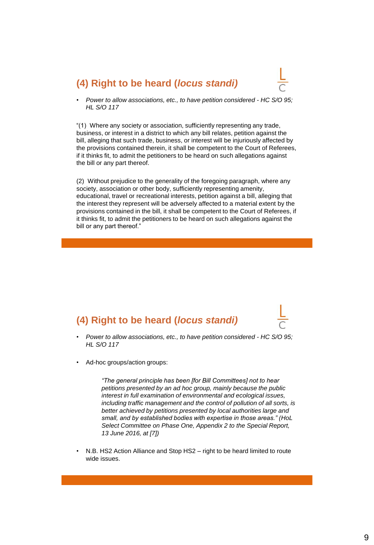

• *Power to allow associations, etc., to have petition considered - HC S/O 95; HL S/O 117*

"(1) Where any society or association, sufficiently representing any trade, business, or interest in a district to which any bill relates, petition against the bill, alleging that such trade, business, or interest will be injuriously affected by the provisions contained therein, it shall be competent to the Court of Referees, if it thinks fit, to admit the petitioners to be heard on such allegations against the bill or any part thereof.

(2) Without prejudice to the generality of the foregoing paragraph, where any society, association or other body, sufficiently representing amenity, educational, travel or recreational interests, petition against a bill, alleging that the interest they represent will be adversely affected to a material extent by the provisions contained in the bill, it shall be competent to the Court of Referees, if it thinks fit, to admit the petitioners to be heard on such allegations against the bill or any part thereof."

# **(4) Right to be heard (***locus standi)*

- *Power to allow associations, etc., to have petition considered - HC S/O 95; HL S/O 117*
- Ad-hoc groups/action groups:

*"The general principle has been [for Bill Committees] not to hear petitions presented by an ad hoc group, mainly because the public interest in full examination of environmental and ecological issues, including traffic management and the control of pollution of all sorts, is better achieved by petitions presented by local authorities large and small, and by established bodies with expertise in those areas." (HoL Select Committee on Phase One, Appendix 2 to the Special Report, 13 June 2016, at [7])*

• N.B. HS2 Action Alliance and Stop HS2 – right to be heard limited to route wide issues.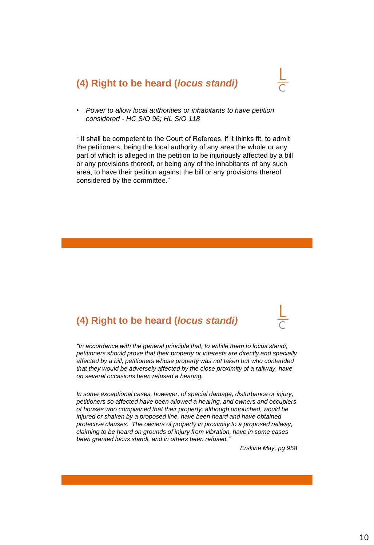

• *Power to allow local authorities or inhabitants to have petition considered - HC S/O 96; HL S/O 118*

" It shall be competent to the Court of Referees, if it thinks fit, to admit the petitioners, being the local authority of any area the whole or any part of which is alleged in the petition to be injuriously affected by a bill or any provisions thereof, or being any of the inhabitants of any such area, to have their petition against the bill or any provisions thereof considered by the committee."

## **(4) Right to be heard (***locus standi)*



*In some exceptional cases, however, of special damage, disturbance or injury, petitioners so affected have been allowed a hearing, and owners and occupiers of houses who complained that their property, although untouched, would be injured or shaken by a proposed line, have been heard and have obtained protective clauses. The owners of property in proximity to a proposed railway, claiming to be heard on grounds of injury from vibration, have in some cases been granted locus standi, and in others been refused."*

*Erskine May, pg 958*